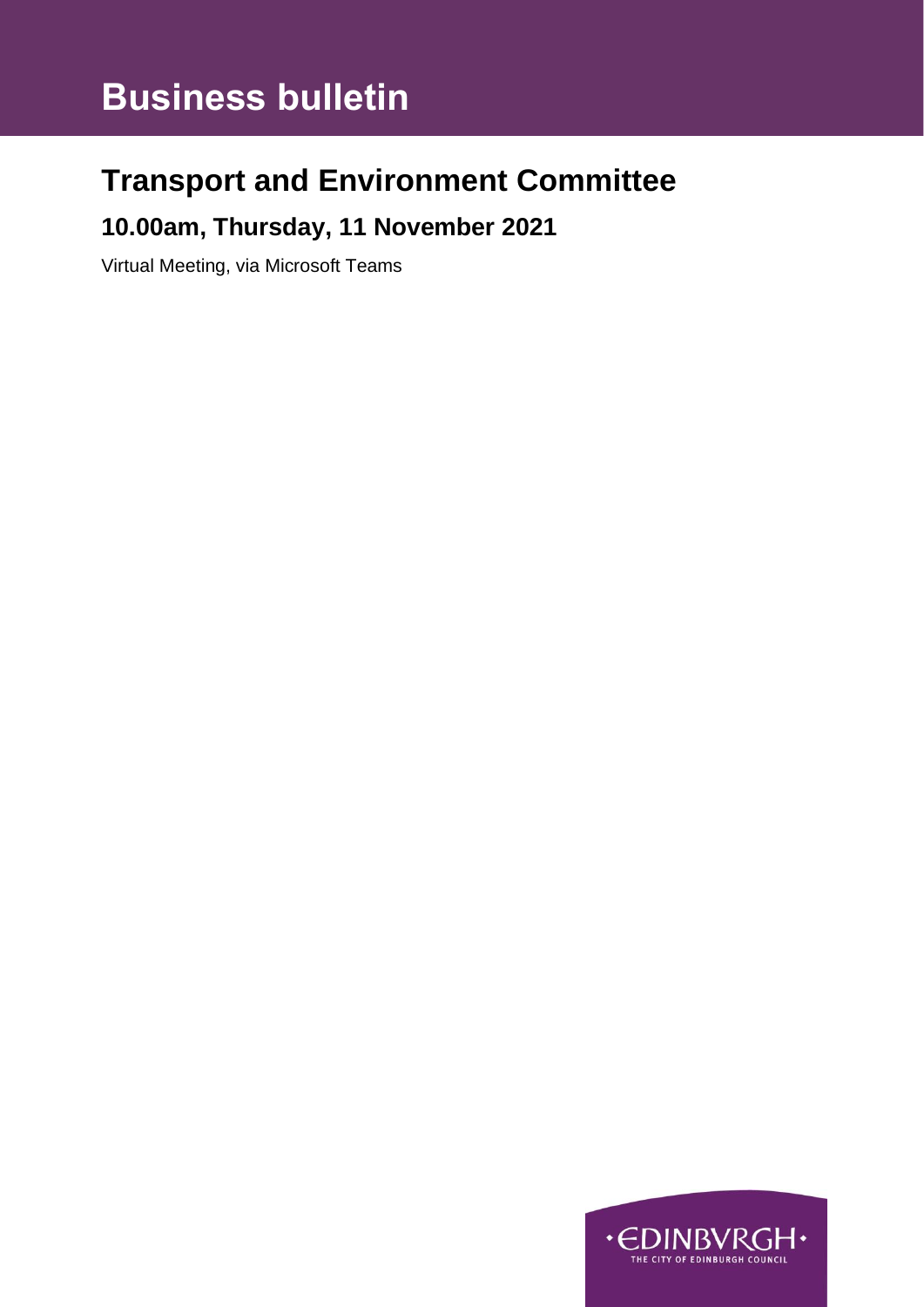# **Business bulletin**

# **Transport and Environment Committee**

### **10.00am, Thursday, 11 November 2021**

Virtual Meeting, via Microsoft Teams

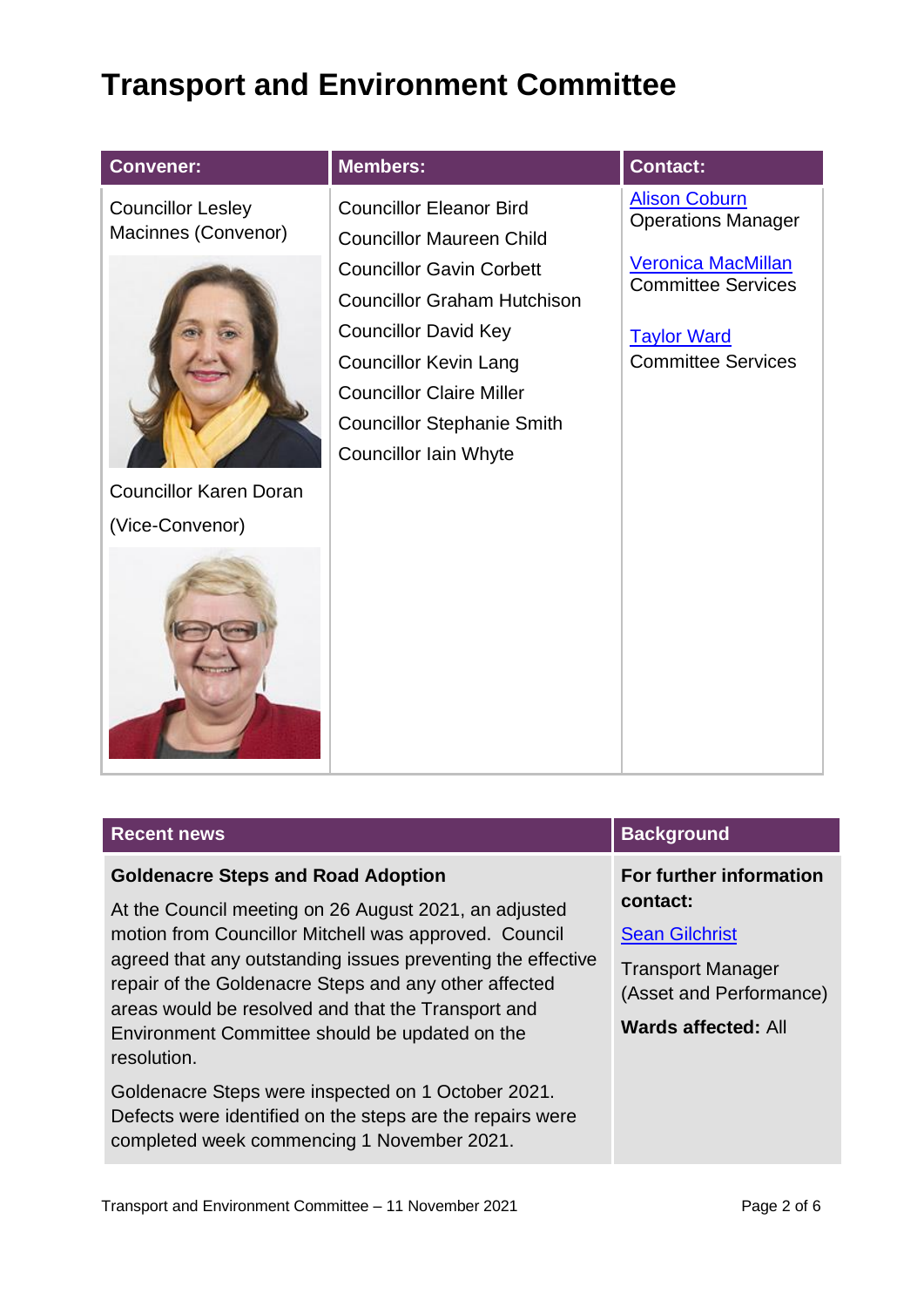## **Transport and Environment Committee**

| <b>Convener:</b>                                | <b>Members:</b>                                                                                                                                                                                                                              | <b>Contact:</b>                                                                                           |
|-------------------------------------------------|----------------------------------------------------------------------------------------------------------------------------------------------------------------------------------------------------------------------------------------------|-----------------------------------------------------------------------------------------------------------|
| <b>Councillor Lesley</b><br>Macinnes (Convenor) | <b>Councillor Eleanor Bird</b><br><b>Councillor Maureen Child</b>                                                                                                                                                                            | <b>Alison Coburn</b><br><b>Operations Manager</b>                                                         |
|                                                 | <b>Councillor Gavin Corbett</b><br><b>Councillor Graham Hutchison</b><br><b>Councillor David Key</b><br><b>Councillor Kevin Lang</b><br><b>Councillor Claire Miller</b><br><b>Councillor Stephanie Smith</b><br><b>Councillor Iain Whyte</b> | <b>Veronica MacMillan</b><br><b>Committee Services</b><br><b>Taylor Ward</b><br><b>Committee Services</b> |
| <b>Councillor Karen Doran</b>                   |                                                                                                                                                                                                                                              |                                                                                                           |
| (Vice-Convenor)                                 |                                                                                                                                                                                                                                              |                                                                                                           |
|                                                 |                                                                                                                                                                                                                                              |                                                                                                           |

#### **Recent news Background**

#### **Goldenacre Steps and Road Adoption**

At the Council meeting on 26 August 2021, an adjusted motion from Councillor Mitchell was approved. Council agreed that any outstanding issues preventing the effective repair of the Goldenacre Steps and any other affected areas would be resolved and that the Transport and Environment Committee should be updated on the resolution.

Goldenacre Steps were inspected on 1 October 2021. Defects were identified on the steps are the repairs were completed week commencing 1 November 2021.

#### **For further information contact:**

#### **[Sean Gilchrist](mailto:sean.gilchrist@edinburgh.gov.uk)**

Transport Manager (Asset and Performance)

#### **Wards affected:** All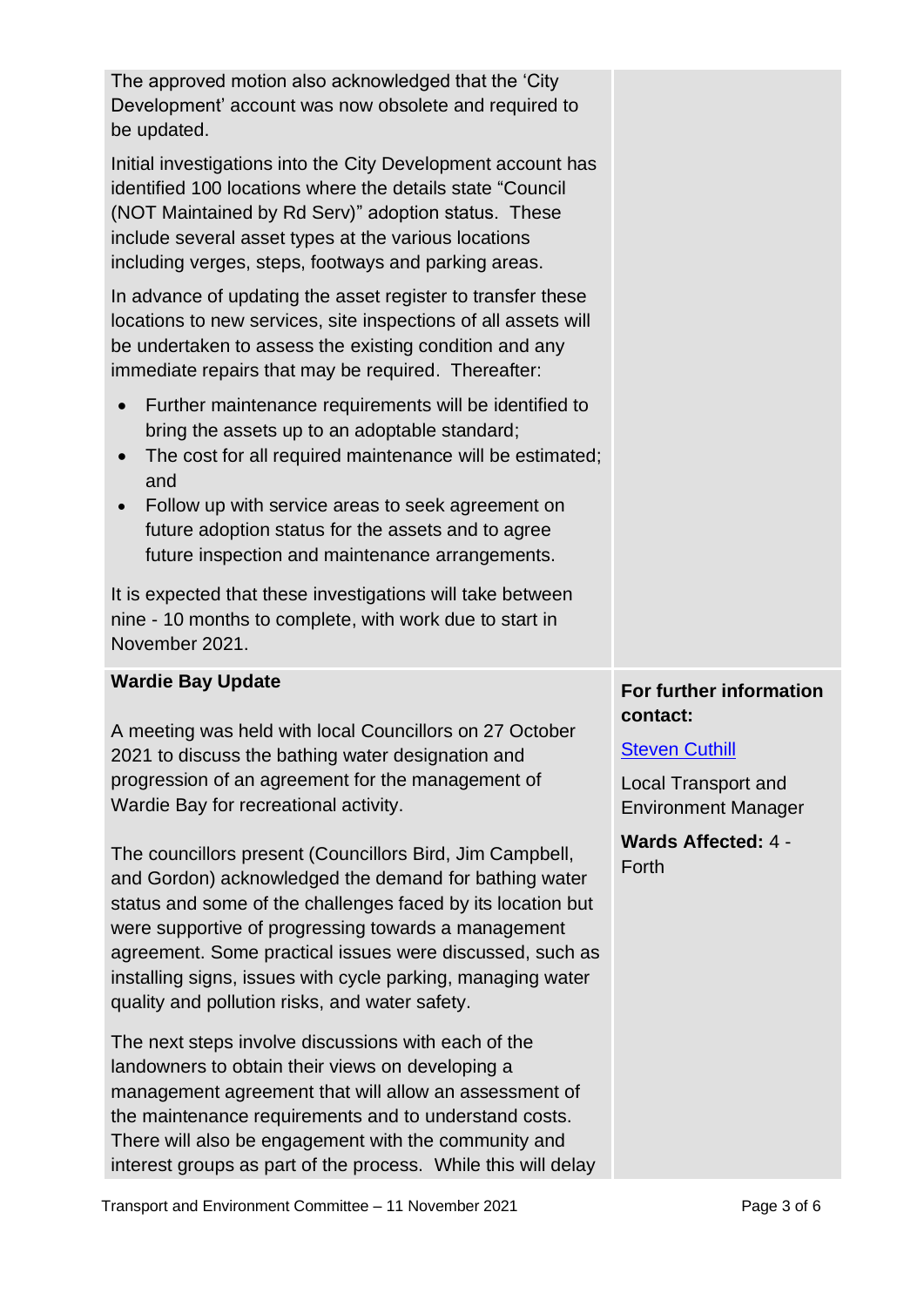The approved motion also acknowledged that the 'City Development' account was now obsolete and required to be updated.

Initial investigations into the City Development account has identified 100 locations where the details state "Council (NOT Maintained by Rd Serv)" adoption status. These include several asset types at the various locations including verges, steps, footways and parking areas.

In advance of updating the asset register to transfer these locations to new services, site inspections of all assets will be undertaken to assess the existing condition and any immediate repairs that may be required. Thereafter:

- Further maintenance requirements will be identified to bring the assets up to an adoptable standard;
- The cost for all required maintenance will be estimated: and
- Follow up with service areas to seek agreement on future adoption status for the assets and to agree future inspection and maintenance arrangements.

It is expected that these investigations will take between nine - 10 months to complete, with work due to start in November 2021.

### **Wardie Bay Update**

A meeting was held with local Councillors on 27 October 2021 to discuss the bathing water designation and progression of an agreement for the management of Wardie Bay for recreational activity.

The councillors present (Councillors Bird, Jim Campbell, and Gordon) acknowledged the demand for bathing water status and some of the challenges faced by its location but were supportive of progressing towards a management agreement. Some practical issues were discussed, such as installing signs, issues with cycle parking, managing water quality and pollution risks, and water safety.

The next steps involve discussions with each of the landowners to obtain their views on developing a management agreement that will allow an assessment of the maintenance requirements and to understand costs. There will also be engagement with the community and interest groups as part of the process. While this will delay

#### **For further information contact:**

### [Steven Cuthill](mailto:steven.cuthill@edinburgh.gov.uk)

Local Transport and Environment Manager

**Wards Affected:** 4 - Forth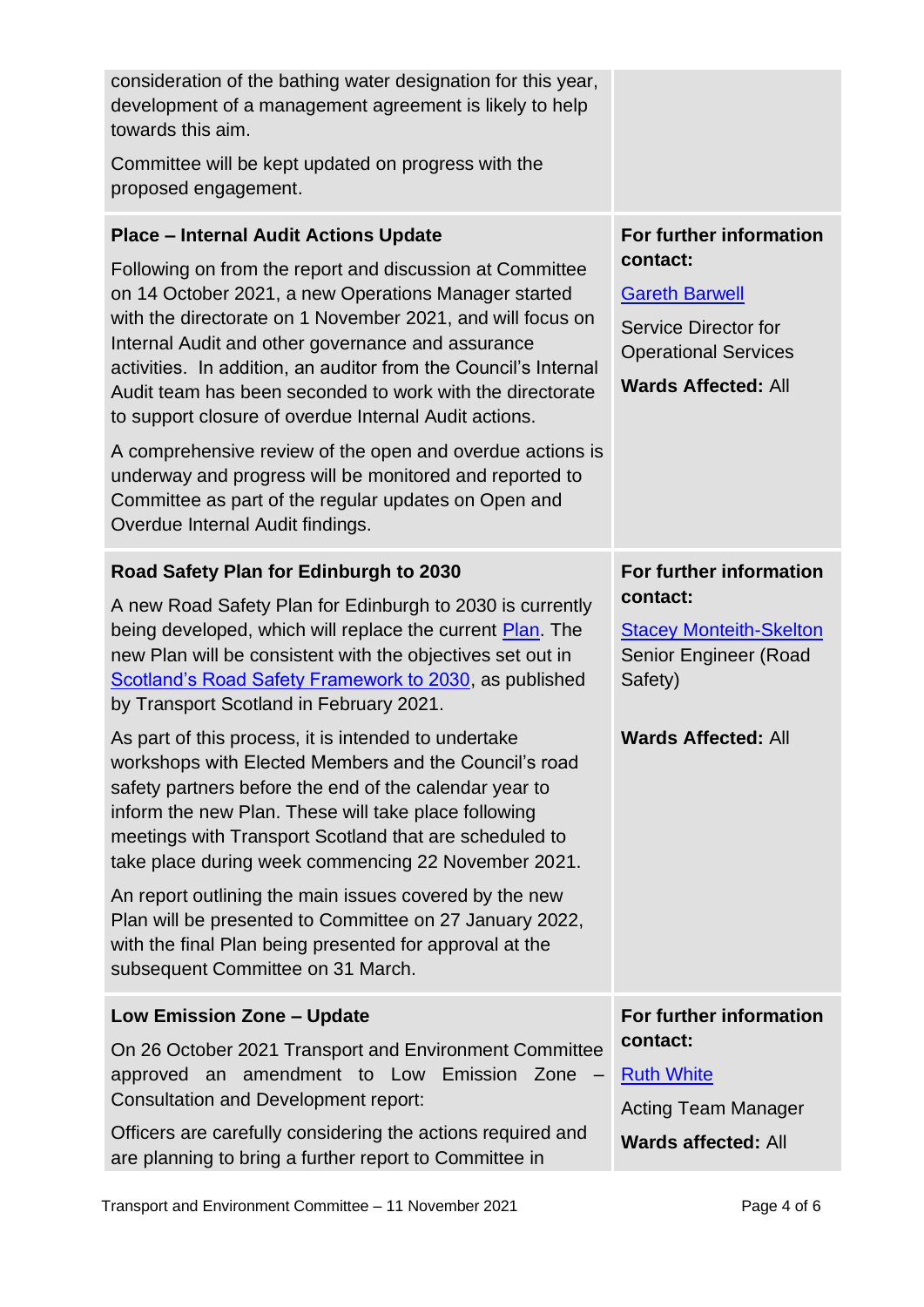| consideration of the bathing water designation for this year,<br>development of a management agreement is likely to help<br>towards this aim.                                                                                                                                                                                                                                                                                                                                                                                             |                                                                                                                                                          |
|-------------------------------------------------------------------------------------------------------------------------------------------------------------------------------------------------------------------------------------------------------------------------------------------------------------------------------------------------------------------------------------------------------------------------------------------------------------------------------------------------------------------------------------------|----------------------------------------------------------------------------------------------------------------------------------------------------------|
| Committee will be kept updated on progress with the<br>proposed engagement.                                                                                                                                                                                                                                                                                                                                                                                                                                                               |                                                                                                                                                          |
| <b>Place - Internal Audit Actions Update</b><br>Following on from the report and discussion at Committee<br>on 14 October 2021, a new Operations Manager started<br>with the directorate on 1 November 2021, and will focus on<br>Internal Audit and other governance and assurance<br>activities. In addition, an auditor from the Council's Internal<br>Audit team has been seconded to work with the directorate<br>to support closure of overdue Internal Audit actions.<br>A comprehensive review of the open and overdue actions is | <b>For further information</b><br>contact:<br><b>Gareth Barwell</b><br>Service Director for<br><b>Operational Services</b><br><b>Wards Affected: All</b> |
| underway and progress will be monitored and reported to<br>Committee as part of the regular updates on Open and<br>Overdue Internal Audit findings.                                                                                                                                                                                                                                                                                                                                                                                       |                                                                                                                                                          |
| Road Safety Plan for Edinburgh to 2030                                                                                                                                                                                                                                                                                                                                                                                                                                                                                                    | For further information                                                                                                                                  |
| A new Road Safety Plan for Edinburgh to 2030 is currently<br>being developed, which will replace the current Plan. The<br>new Plan will be consistent with the objectives set out in<br>Scotland's Road Safety Framework to 2030, as published<br>by Transport Scotland in February 2021.                                                                                                                                                                                                                                                 | contact:<br><b>Stacey Monteith-Skelton</b><br>Senior Engineer (Road<br>Safety)                                                                           |
| As part of this process, it is intended to undertake<br>workshops with Elected Members and the Council's road<br>safety partners before the end of the calendar year to<br>inform the new Plan. These will take place following<br>meetings with Transport Scotland that are scheduled to<br>take place during week commencing 22 November 2021.                                                                                                                                                                                          | <b>Wards Affected: All</b>                                                                                                                               |
| An report outlining the main issues covered by the new<br>Plan will be presented to Committee on 27 January 2022,<br>with the final Plan being presented for approval at the<br>subsequent Committee on 31 March.                                                                                                                                                                                                                                                                                                                         |                                                                                                                                                          |
| <b>Low Emission Zone - Update</b>                                                                                                                                                                                                                                                                                                                                                                                                                                                                                                         | For further information                                                                                                                                  |
| On 26 October 2021 Transport and Environment Committee<br>approved an amendment to Low Emission<br>Zone<br>$\qquad \qquad -$                                                                                                                                                                                                                                                                                                                                                                                                              | contact:<br><b>Ruth White</b>                                                                                                                            |
| Consultation and Development report:                                                                                                                                                                                                                                                                                                                                                                                                                                                                                                      | <b>Acting Team Manager</b>                                                                                                                               |
| Officers are carefully considering the actions required and<br>are planning to bring a further report to Committee in                                                                                                                                                                                                                                                                                                                                                                                                                     | <b>Wards affected: All</b>                                                                                                                               |